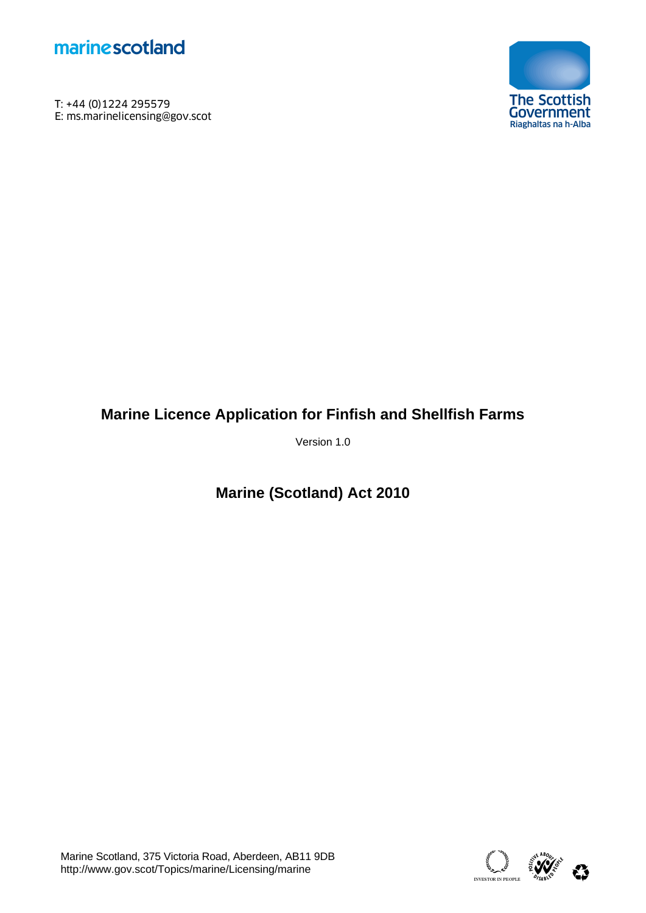

T: +44 (0)1224 295579<br>E: ms.marinelicensing@gov.scot **marine scotland**<br>T: +44 (0)1224 295579<br>E: ms.marinelicensing@gov.scot<br>F



# **Marine Licence Application for Finfish and Shellfish Farms**

Version 1.0

**Marine (Scotland) Act 2010** 

Marine Scotland, 375 Victoria Road, Aberdeen, AB11 9DB<br>http://www.gov.scot/Topics/marine/Licensing/marine absolution of the absolution of the state of the state abso

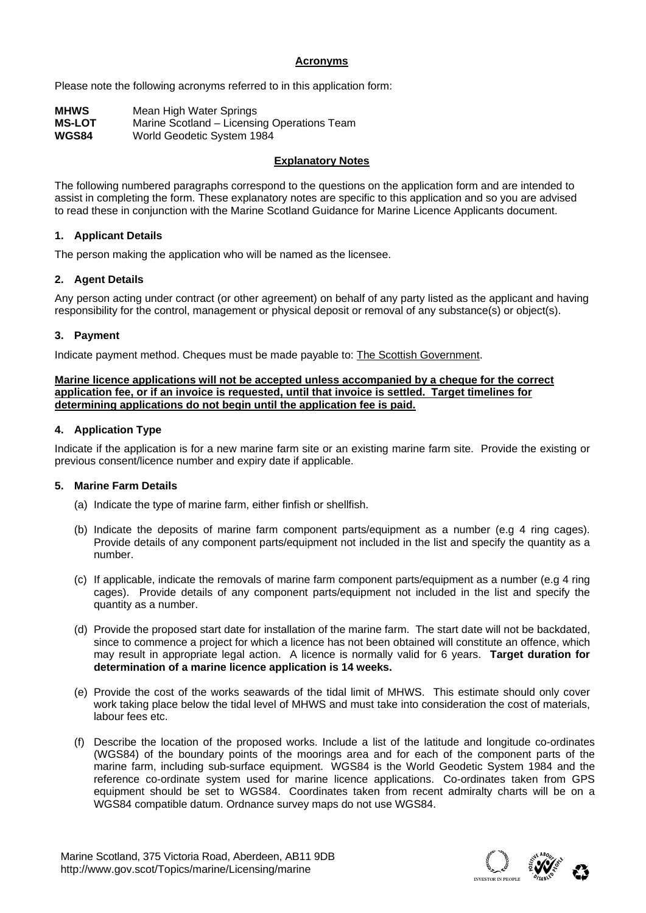# **Acronyms**

Please note the following acronyms referred to in this application form:

| <b>MHWS</b>   | Mean High Water Springs                     |
|---------------|---------------------------------------------|
| <b>MS-LOT</b> | Marine Scotland – Licensing Operations Team |
| <b>WGS84</b>  | World Geodetic System 1984                  |

# **Explanatory Notes**

The following numbered paragraphs correspond to the questions on the application form and are intended to assist in completing the form. These explanatory notes are specific to this application and so you are advised to read these in conjunction with the Marine Scotland Guidance for Marine Licence Applicants document.

# **1. Applicant Details**

The person making the application who will be named as the licensee.

# **2. Agent Details**

Any person acting under contract (or other agreement) on behalf of any party listed as the applicant and having responsibility for the control, management or physical deposit or removal of any substance(s) or object(s).

# **3. Payment**

Indicate payment method. Cheques must be made payable to: The Scottish Government.

#### **Marine licence applications will not be accepted unless accompanied by a cheque for the correct application fee, or if an invoice is requested, until that invoice is settled. Target timelines for determining applications do not begin until the application fee is paid.**

### **4. Application Type**

Indicate if the application is for a new marine farm site or an existing marine farm site. Provide the existing or previous consent/licence number and expiry date if applicable.

### **5. Marine Farm Details**

- (a) Indicate the type of marine farm, either finfish or shellfish.
- (b) Indicate the deposits of marine farm component parts/equipment as a number (e.g 4 ring cages). Provide details of any component parts/equipment not included in the list and specify the quantity as a number.
- (c) If applicable, indicate the removals of marine farm component parts/equipment as a number (e.g 4 ring cages). Provide details of any component parts/equipment not included in the list and specify the quantity as a number.
- (d) Provide the proposed start date for installation of the marine farm. The start date will not be backdated, since to commence a project for which a licence has not been obtained will constitute an offence, which may result in appropriate legal action. A licence is normally valid for 6 years. **Target duration for determination of a marine licence application is 14 weeks.**
- (e) Provide the cost of the works seawards of the tidal limit of MHWS. This estimate should only cover work taking place below the tidal level of MHWS and must take into consideration the cost of materials, labour fees etc.
- (f) Describe the location of the proposed works. Include a list of the latitude and longitude co-ordinates (WGS84) of the boundary points of the moorings area and for each of the component parts of the marine farm, including sub-surface equipment. WGS84 is the World Geodetic System 1984 and the reference co-ordinate system used for marine licence applications. Co-ordinates taken from GPS equipment should be set to WGS84. Coordinates taken from recent admiralty charts will be on a WGS84 compatible datum. Ordnance survey maps do not use WGS84.

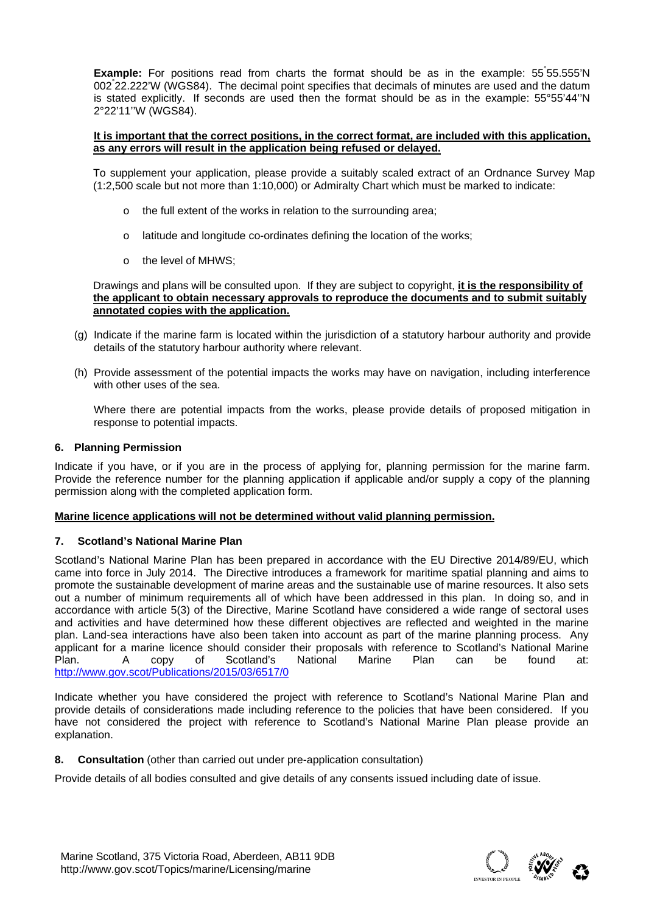Example: For positions read from charts the format should be as in the example: 55°55.555'N 002° 22.222'W (WGS84). The decimal point specifies that decimals of minutes are used and the datum is stated explicitly. If seconds are used then the format should be as in the example: 55°55'44''N 2°22'11''W (WGS84).

#### **It is important that the correct positions, in the correct format, are included with this application, as any errors will result in the application being refused or delayed.**

To supplement your application, please provide a suitably scaled extract of an Ordnance Survey Map (1:2,500 scale but not more than 1:10,000) or Admiralty Chart which must be marked to indicate:

- o the full extent of the works in relation to the surrounding area;
- o latitude and longitude co-ordinates defining the location of the works;
- o the level of MHWS;

 Drawings and plans will be consulted upon. If they are subject to copyright, **it is the responsibility of the applicant to obtain necessary approvals to reproduce the documents and to submit suitably annotated copies with the application.** 

- (g) Indicate if the marine farm is located within the jurisdiction of a statutory harbour authority and provide details of the statutory harbour authority where relevant.
- (h) Provide assessment of the potential impacts the works may have on navigation, including interference with other uses of the sea.

Where there are potential impacts from the works, please provide details of proposed mitigation in response to potential impacts.

#### **6. Planning Permission**

Indicate if you have, or if you are in the process of applying for, planning permission for the marine farm. Provide the reference number for the planning application if applicable and/or supply a copy of the planning permission along with the completed application form.

## **Marine licence applications will not be determined without valid planning permission.**

### **7. Scotland's National Marine Plan**

Scotland's National Marine Plan has been prepared in accordance with the EU Directive 2014/89/EU, which came into force in July 2014. The Directive introduces a framework for maritime spatial planning and aims to promote the sustainable development of marine areas and the sustainable use of marine resources. It also sets out a number of minimum requirements all of which have been addressed in this plan. In doing so, and in accordance with article 5(3) of the Directive, Marine Scotland have considered a wide range of sectoral uses and activities and have determined how these different objectives are reflected and weighted in the marine plan. Land-sea interactions have also been taken into account as part of the marine planning process. Any applicant for a marine licence should consider their proposals with reference to Scotland's National Marine Plan. A copy of Scotland's National Marine Plan can be found at: http://www.gov.scot/Publications/2015/03/6517/0

Indicate whether you have considered the project with reference to Scotland's National Marine Plan and provide details of considerations made including reference to the policies that have been considered. If you have not considered the project with reference to Scotland's National Marine Plan please provide an explanation.

**8.** Consultation (other than carried out under pre-application consultation)

Provide details of all bodies consulted and give details of any consents issued including date of issue.

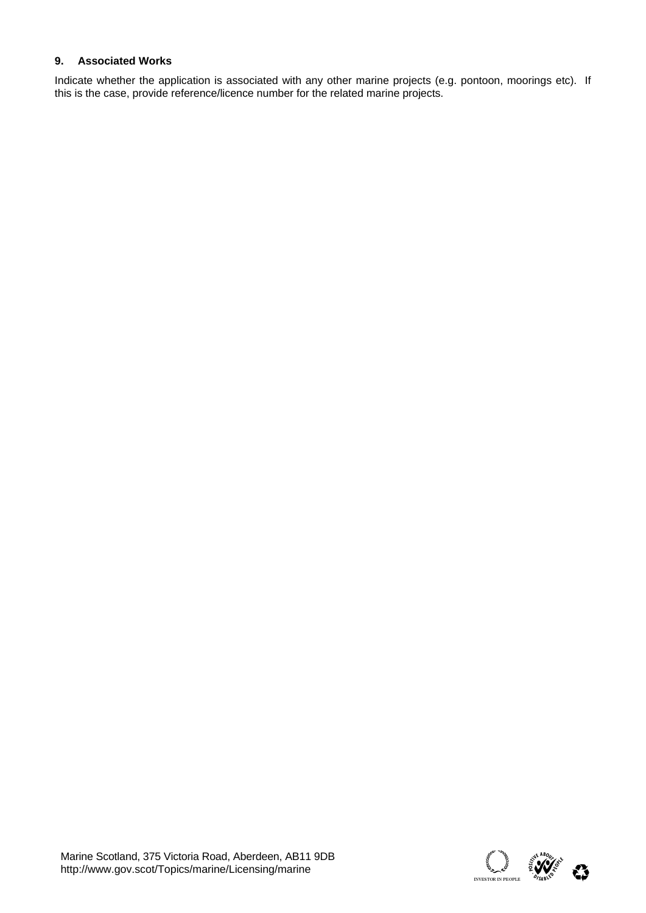# **9. Associated Works**

Indicate whether the application is associated with any other marine projects (e.g. pontoon, moorings etc). If this is the case, provide reference/licence number for the related marine projects.

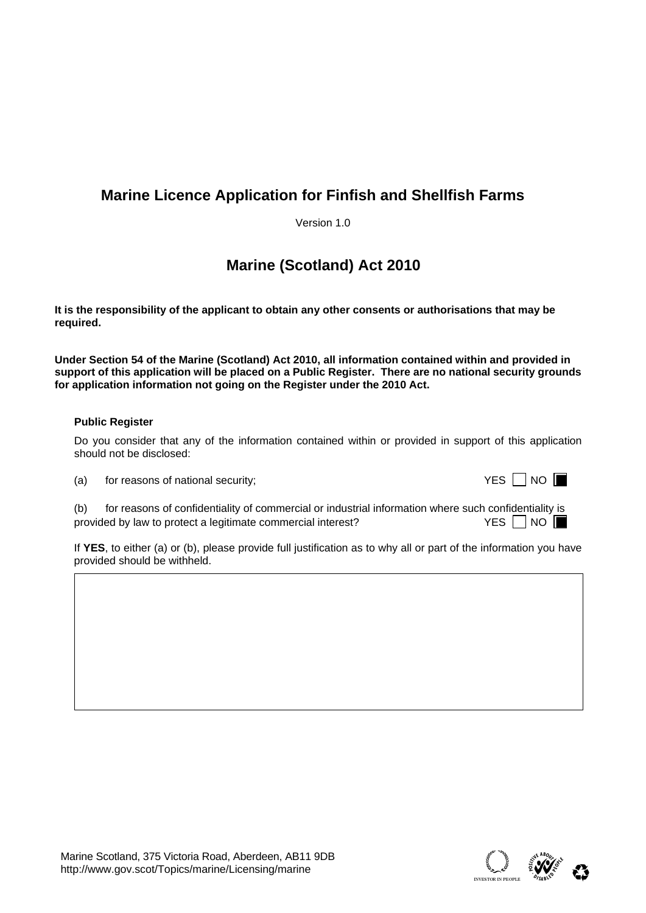# **Marine Licence Application for Finfish and Shellfish Farms**

Version 1.0

# **Marine (Scotland) Act 2010**

**It is the responsibility of the applicant to obtain any other consents or authorisations that may be required.** 

**Under Section 54 of the Marine (Scotland) Act 2010, all information contained within and provided in**  support of this application will be placed on a Public Register. There are no national security grounds **for application information not going on the Register under the 2010 Act.** 

# **Public Register**

Do you consider that any of the information contained within or provided in support of this application should not be disclosed:

 $(a)$  for reasons of national security;

|  | I | I |
|--|---|---|
|--|---|---|

(b) for reasons of confidentiality of commercial or industrial information where such confidentiality is provided by law to protect a legitimate commercial interest?  $YES \Box NO$ 

If **YES**, to either (a) or (b), please provide full justification as to why all or part of the information you have provided should be withheld.

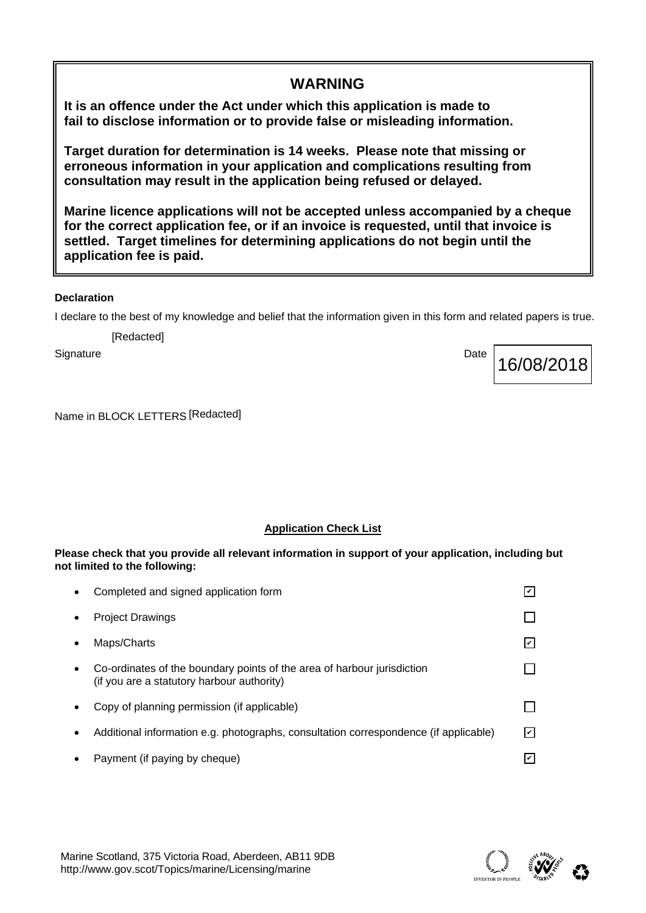**It is an offence under the Act under which this application is made to fail to disclose information or to provide false or misleading information.** 

**Target duration for determination is 14 weeks. Please note that missing or erroneous information in your application and complications resulting from consultation may result in the application being refused or delayed.** 

**Marine licence applications will not be accepted unless accompanied by a cheque for the correct application fee, or if an invoice is requested, until that invoice is settled. Target timelines for determining applications do not begin until the application fee is paid.** 

**WARNING** 

# **Declaration**

I declare to the best of my knowledge and belief that the information given in this form and related papers is true.

[Redacted]

Name in BLOCK LETTERS [Redacted]

Signature Date Date of the Date of the Date of the Date of the Date of the Date of the Date of the Date of the

**Application Check List** 

# **Please check that you provide all relevant information in support of your application, including but not limited to the following:**

| $\bullet$ | Completed and signed application form                                                                                 |    |
|-----------|-----------------------------------------------------------------------------------------------------------------------|----|
| $\bullet$ | <b>Project Drawings</b>                                                                                               |    |
| $\bullet$ | Maps/Charts                                                                                                           | Iv |
| $\bullet$ | Co-ordinates of the boundary points of the area of harbour jurisdiction<br>(if you are a statutory harbour authority) |    |
| $\bullet$ | Copy of planning permission (if applicable)                                                                           |    |
| $\bullet$ | Additional information e.g. photographs, consultation correspondence (if applicable)                                  | ا۷ |
| $\bullet$ | Payment (if paying by cheque)                                                                                         |    |



16/08/2018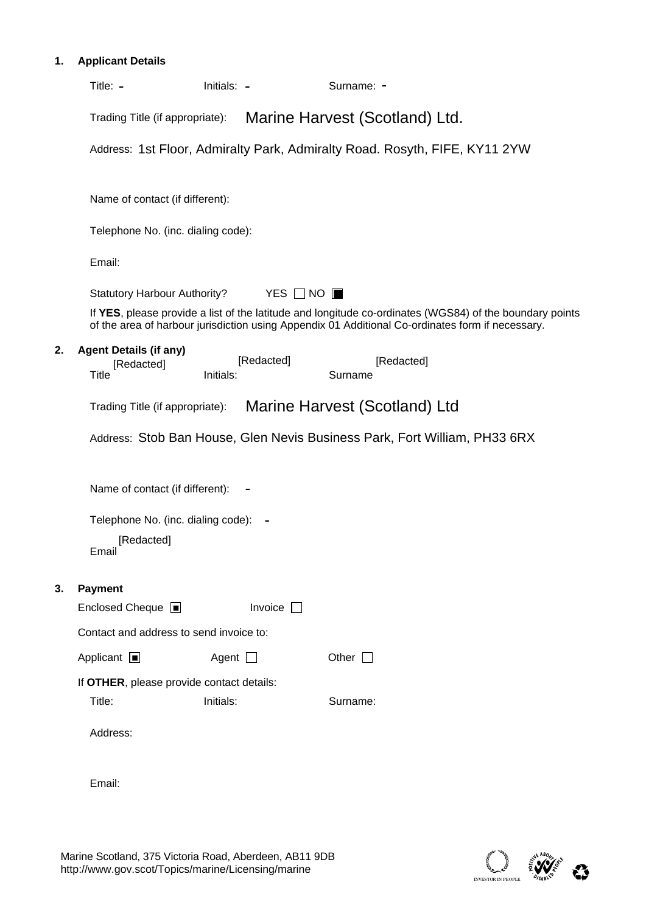# **1. Applicant Details**

|    | Title: $-$                                                  | Initials: -             | Surname: -                                                                                                                                                                                                                                  |  |
|----|-------------------------------------------------------------|-------------------------|---------------------------------------------------------------------------------------------------------------------------------------------------------------------------------------------------------------------------------------------|--|
|    | Trading Title (if appropriate):                             |                         | Marine Harvest (Scotland) Ltd.                                                                                                                                                                                                              |  |
|    |                                                             |                         | Address: 1st Floor, Admiralty Park, Admiralty Road. Rosyth, FIFE, KY11 2YW                                                                                                                                                                  |  |
|    | Name of contact (if different):                             |                         |                                                                                                                                                                                                                                             |  |
|    | Telephone No. (inc. dialing code):                          |                         |                                                                                                                                                                                                                                             |  |
|    |                                                             |                         |                                                                                                                                                                                                                                             |  |
|    | Email:                                                      |                         |                                                                                                                                                                                                                                             |  |
|    | <b>Statutory Harbour Authority?</b>                         |                         | YES $\Box$ NO $\blacksquare$<br>If YES, please provide a list of the latitude and longitude co-ordinates (WGS84) of the boundary points<br>of the area of harbour jurisdiction using Appendix 01 Additional Co-ordinates form if necessary. |  |
| 2. | <b>Agent Details (if any)</b><br>[Redacted]<br><b>Title</b> | [Redacted]<br>Initials: | [Redacted]<br>Surname                                                                                                                                                                                                                       |  |
|    | Trading Title (if appropriate):                             |                         | Marine Harvest (Scotland) Ltd                                                                                                                                                                                                               |  |
|    |                                                             |                         | Address: Stob Ban House, Glen Nevis Business Park, Fort William, PH33 6RX                                                                                                                                                                   |  |
|    | Name of contact (if different):                             |                         |                                                                                                                                                                                                                                             |  |
|    | Telephone No. (inc. dialing code):                          |                         |                                                                                                                                                                                                                                             |  |
|    | [Redacted]<br>Email                                         |                         |                                                                                                                                                                                                                                             |  |
| 3. | Payment                                                     |                         |                                                                                                                                                                                                                                             |  |
|    | Enclosed Cheque <b>I</b>                                    | Invoice $\Box$          |                                                                                                                                                                                                                                             |  |
|    | Contact and address to send invoice to:                     |                         |                                                                                                                                                                                                                                             |  |
|    | Applicant $\blacksquare$                                    | Agent $\Box$            | Other $\Box$                                                                                                                                                                                                                                |  |
|    | If OTHER, please provide contact details:<br>Title:         | Initials:               | Surname:                                                                                                                                                                                                                                    |  |
|    | Address:                                                    |                         |                                                                                                                                                                                                                                             |  |
|    | Email:                                                      |                         |                                                                                                                                                                                                                                             |  |

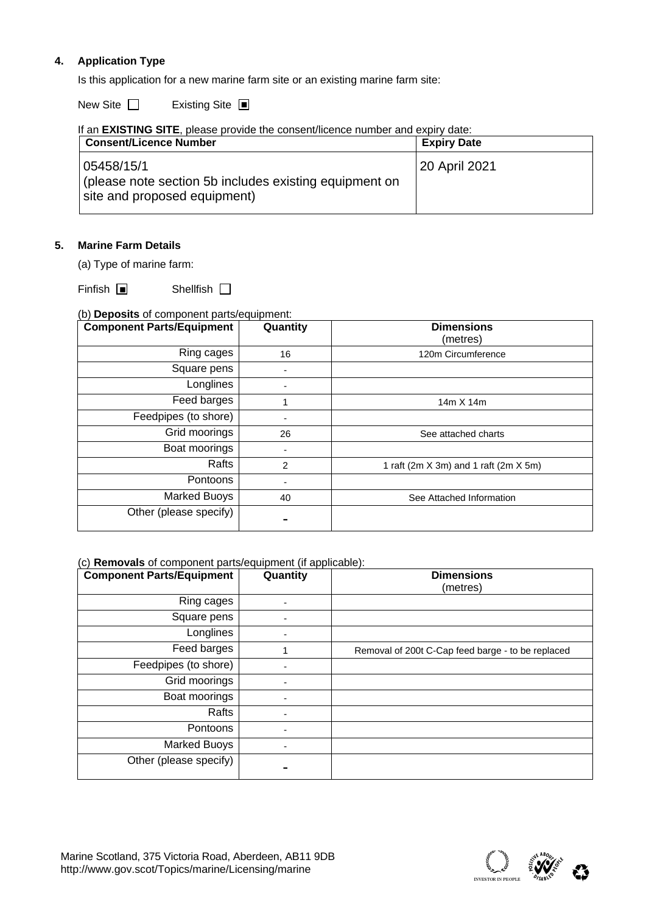# **4. Application Type**

Is this application for a new marine farm site or an existing marine farm site:

New Site  $\square$ Existing Site ■

| If an <b>EXISTING SITE</b> , please provide the consent/licence number and expiry date:              |                    |  |  |  |  |  |  |
|------------------------------------------------------------------------------------------------------|--------------------|--|--|--|--|--|--|
| <b>Consent/Licence Number</b>                                                                        | <b>Expiry Date</b> |  |  |  |  |  |  |
| 05458/15/1<br>(please note section 5b includes existing equipment on<br>site and proposed equipment) | 20 April 2021      |  |  |  |  |  |  |

# **5. Marine Farm Details**

(a) Type of marine farm:

Finfish ■ Shellfish

### (b) **Deposits** of component parts/equipment:

| <b>Component Parts/Equipment</b> | Quantity | <b>Dimensions</b><br>(metres)             |
|----------------------------------|----------|-------------------------------------------|
| Ring cages                       | 16       | 120m Circumference                        |
| Square pens                      |          |                                           |
| Longlines                        |          |                                           |
| Feed barges                      |          | 14m X 14m                                 |
| Feedpipes (to shore)             |          |                                           |
| Grid moorings                    | 26       | See attached charts                       |
| Boat moorings                    |          |                                           |
| Rafts                            | 2        | 1 raft (2m $X$ 3m) and 1 raft (2m $X$ 5m) |
| Pontoons                         |          |                                           |
| <b>Marked Buoys</b>              | 40       | See Attached Information                  |
| Other (please specify)           |          |                                           |

#### (c) **Removals** of component parts/equipment (if applicable):

| <b>Component Parts/Equipment</b> | Quantity | <b>Dimensions</b><br>(metres)                     |
|----------------------------------|----------|---------------------------------------------------|
| Ring cages                       |          |                                                   |
| Square pens                      |          |                                                   |
| Longlines                        |          |                                                   |
| Feed barges                      |          | Removal of 200t C-Cap feed barge - to be replaced |
| Feedpipes (to shore)             |          |                                                   |
| Grid moorings                    |          |                                                   |
| Boat moorings                    |          |                                                   |
| Rafts                            |          |                                                   |
| Pontoons                         |          |                                                   |
| Marked Buoys                     |          |                                                   |
| Other (please specify)           |          |                                                   |

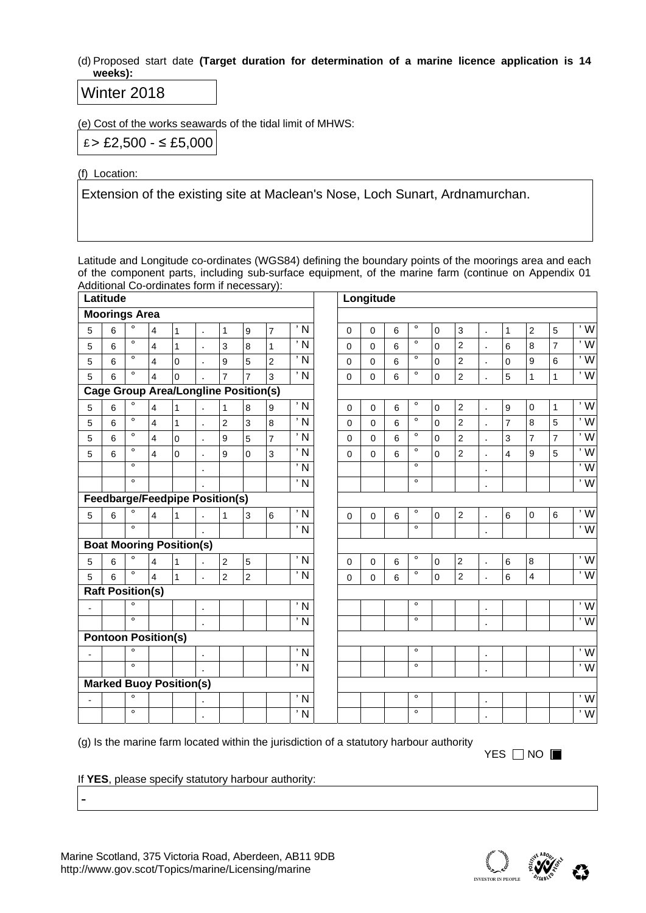(d) Proposed start date **(Target duration for determination of a marine licence application is 14 weeks):** 

# Winter 2018

(e) Cost of the works seawards of the tidal limit of MHWS:

£ > £2,500 - ≤ £5,000

(f) Location:

Extension of the existing site at Maclean's Nose, Loch Sunart, Ardnamurchan.

Latitude and Longitude co-ordinates (WGS84) defining the boundary points of the moorings area and each of the component parts, including sub-surface equipment, of the marine farm (continue on Appendix 01 Additional Co-ordinates form if necessary):

|                | Latitude                   |                      |                         |                                             |                |                |                  |                |                            |                | Longitude   |                |         |             |                  |                |                         |                |                |                         |
|----------------|----------------------------|----------------------|-------------------------|---------------------------------------------|----------------|----------------|------------------|----------------|----------------------------|----------------|-------------|----------------|---------|-------------|------------------|----------------|-------------------------|----------------|----------------|-------------------------|
|                | <b>Moorings Area</b>       |                      |                         |                                             |                |                |                  |                |                            |                |             |                |         |             |                  |                |                         |                |                |                         |
| 5              | 6                          | $\circ$              | $\overline{\mathbf{4}}$ | $\mathbf{1}$                                | ÷.             | $\mathbf{1}$   | $\boldsymbol{9}$ | $\overline{7}$ | ' N                        | $\mathbf 0$    | $\Omega$    | $6\phantom{1}$ | $\circ$ | $\mathbf 0$ | $\mathbf{3}$     | $\epsilon$     | $\mathbf{1}$            | $\overline{2}$ | 5              | $\overline{w}$          |
| 5              | 6                          | $\circ$              | $\overline{\mathbf{4}}$ | $\mathbf{1}$                                | ä,             | $\mathbf{3}$   | $\bf 8$          | $\mathbf{1}$   | $\overline{N}$             | $\pmb{0}$      | $\mathbf 0$ | 6              | $\circ$ | 0           | $\overline{2}$   | ä,             | $6\phantom{1}6$         | 8              | $\overline{7}$ | $\overline{W}$          |
| 5              | 6                          | $\circ$              | $\overline{\mathbf{4}}$ | $\Omega$                                    | J.             | 9              | $\overline{5}$   | $\overline{c}$ | $\overline{N}$             | $\mathbf 0$    | $\mathbf 0$ | 6              | $\circ$ | $\mathbf 0$ | $\overline{2}$   | ä,             | $\mathbf 0$             | 9              | $6\phantom{1}$ | $\overline{\mathsf{w}}$ |
| 5              | 6                          | $\circ$              | $\overline{\mathbf{4}}$ | $\overline{0}$                              |                | $\overline{7}$ | $\overline{7}$   | 3              | $\overline{N}$             | 0              | $\mathbf 0$ | 6              | $\circ$ | $\mathbf 0$ | $\overline{2}$   | ä,             | $\overline{5}$          | $\mathbf{1}$   | $\mathbf{1}$   | $\overline{\mathsf{w}}$ |
|                |                            |                      |                         | <b>Cage Group Area/Longline Position(s)</b> |                |                |                  |                |                            |                |             |                |         |             |                  |                |                         |                |                |                         |
| 5              | 6                          | $\circ$              | $\overline{\mathbf{4}}$ | $\mathbf{1}$                                | J.             | $\mathbf{1}$   | $\boldsymbol{8}$ | 9              | $\overline{N}$             | 0              | $\Omega$    | 6              | $\circ$ | $\mathbf 0$ | $\overline{c}$   | ×              | $\boldsymbol{9}$        | $\mathbf 0$    | $\overline{1}$ | 'W                      |
| 5              | $6\phantom{1}$             | $\circ$              | $\overline{\mathbf{4}}$ | $\mathbf{1}$                                | l.             | $\overline{c}$ | $\mathbf{3}$     | 8              | ' N                        | $\mathbf 0$    | $\mathbf 0$ | 6              | $\circ$ | $\mathsf 0$ | $\overline{c}$   | l,             | $\overline{7}$          | 8              | $\overline{5}$ | $\overline{\mathsf{w}}$ |
| 5              | 6                          | $\overline{\bullet}$ | $\overline{\mathbf{4}}$ | $\overline{0}$                              | ä,             | 9              | 5                | $\overline{7}$ | $\overline{\phantom{a}}$ N | $\Omega$       | $\Omega$    | 6              | $\circ$ | $\Omega$    | $\overline{2}$   | $\blacksquare$ | 3                       | $\overline{7}$ | $\overline{7}$ | $\overline{\mathsf{w}}$ |
| 5              | $6\phantom{1}$             | $\circ$              | $\overline{\mathbf{4}}$ | $\overline{0}$                              | ÷.             | 9              | $\mathbf 0$      | 3              | $\overline{N}$             | $\overline{0}$ | $\Omega$    | 6              | $\circ$ | $\mathbf 0$ | $\overline{2}$   | $\epsilon$     | $\overline{\mathbf{4}}$ | 9              | 5              | $\overline{\mathsf{w}}$ |
|                |                            | $\circ$              |                         |                                             | ä,             |                |                  |                | $\overline{N}$             |                |             |                | $\circ$ |             |                  | ä,             |                         |                |                | $\overline{\mathsf{w}}$ |
|                |                            | $\circ$              |                         |                                             |                |                |                  |                | $\overline{\phantom{a}}$ N |                |             |                | $\circ$ |             |                  | $\blacksquare$ |                         |                |                | $\overline{\mathsf{w}}$ |
|                |                            |                      |                         | <b>Feedbarge/Feedpipe Position(s)</b>       |                |                |                  |                |                            |                |             |                |         |             |                  |                |                         |                |                |                         |
| 5              | $6\phantom{1}$             | $\circ$              | $\overline{4}$          | $\mathbf{1}$                                | k,             | $\mathbf{1}$   | $\mathbf{3}$     | 6              | $\overline{N}$             | $\pmb{0}$      | $\Omega$    | 6              | $\circ$ | $\mathbf 0$ | $\overline{c}$   | $\epsilon$     | $6\phantom{1}$          | $\mathbf 0$    | 6              | $\overline{w}$          |
|                |                            | $\circ$              |                         |                                             |                |                |                  |                | $\overline{N}$             |                |             |                | $\circ$ |             |                  | ä,             |                         |                |                | $\overline{w}$          |
|                |                            |                      |                         | <b>Boat Mooring Position(s)</b>             |                |                |                  |                |                            |                |             |                |         |             |                  |                |                         |                |                |                         |
| 5              | $6\phantom{1}$             | $\circ$              | $\overline{4}$          | $\mathbf{1}$                                | ÷.             | $\overline{2}$ | $\overline{5}$   |                | ' N                        | $\pmb{0}$      | $\pmb{0}$   | 6              | $\circ$ | $\pmb{0}$   | $\boldsymbol{2}$ | $\epsilon$     | $\,6\,$                 | $\,8\,$        |                | $\overline{w}$          |
| 5              | 6                          | $\circ$              | $\overline{4}$          | $\mathbf{1}$                                |                | $\overline{2}$ | $\overline{2}$   |                | $\overline{N}$             | $\mathbf 0$    | $\mathbf 0$ | 6              | $\circ$ | $\mathbf 0$ | $\overline{2}$   |                | $6\phantom{1}6$         | $\overline{4}$ |                | $\overline{\mathsf{w}}$ |
|                | <b>Raft Position(s)</b>    |                      |                         |                                             |                |                |                  |                |                            |                |             |                |         |             |                  |                |                         |                |                |                         |
| $\blacksquare$ |                            | $\circ$              |                         |                                             | $\blacksquare$ |                |                  |                | $\overline{N}$             |                |             |                | $\circ$ |             |                  | $\bullet$      |                         |                |                | $\overline{w}$          |
|                |                            | $\overline{\bullet}$ |                         |                                             | ä,             |                |                  |                | $\overline{N}$             |                |             |                | $\circ$ |             |                  |                |                         |                |                | $\overline{\mathsf{w}}$ |
|                | <b>Pontoon Position(s)</b> |                      |                         |                                             |                |                |                  |                |                            |                |             |                |         |             |                  |                |                         |                |                |                         |
| $\overline{a}$ |                            | $\circ$              |                         |                                             | $\bullet$      |                |                  |                | ' N                        |                |             |                | $\circ$ |             |                  | $\blacksquare$ |                         |                |                | $\overline{W}$          |
|                |                            | $\circ$              |                         |                                             |                |                |                  |                | ' N                        |                |             |                | $\circ$ |             |                  | ×              |                         |                |                | $\overline{\cdot}$ W    |
|                |                            |                      |                         | <b>Marked Buoy Position(s)</b>              |                |                |                  |                |                            |                |             |                |         |             |                  |                |                         |                |                |                         |
|                |                            | $\circ$              |                         |                                             | ٠              |                |                  |                | $\overline{N}$             |                |             |                | $\circ$ |             |                  | $\bullet$      |                         |                |                | $\overline{\mathsf{w}}$ |
|                |                            | $\circ$              |                         |                                             | ×,             |                |                  |                | ' N                        |                |             |                | $\circ$ |             |                  | ٠              |                         |                |                | $\overline{\mathsf{w}}$ |

(g) Is the marine farm located within the jurisdiction of a statutory harbour authority

 $YES \ \Box \ NO \ \blacksquare$ 

If **YES**, please specify statutory harbour authority:

-

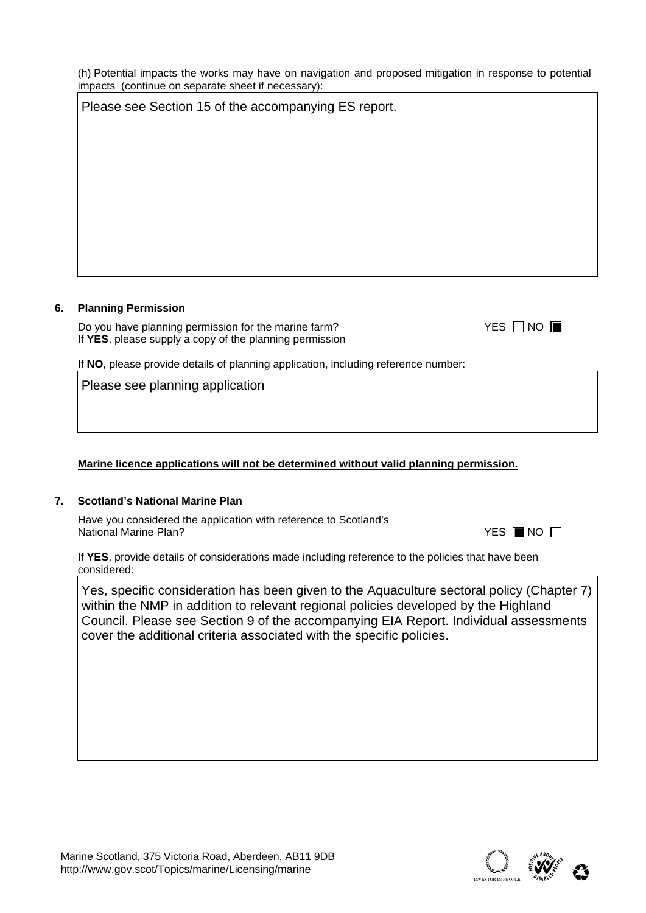(h) Potential impacts the works may have on navigation and proposed mitigation in response to potential impacts (continue on separate sheet if necessary): Please see Section 15 of the accompanying ES report.

# **6. Planning Permission**

Do you have planning permission for the marine farm? If **YES**, please supply a copy of the planning permission

If **NO**, please provide details of planning application, including reference number:

Please see planning application

# **Marine licence applications will not be determined without valid planning permission.**

# **7. Scotland's National Marine Plan**

Have you considered the application with reference to Scotland's **National Marine Plan?** 

If **YES**, provide details of considerations made including reference to the policies that have been considered:

Yes, specific consideration has been given to the Aquaculture sectoral policy (Chapter 7) within the NMP in addition to relevant regional policies developed by the Highland Council. Please see Section 9 of the accompanying EIA Report. Individual assessments cover the additional criteria associated with the specific policies.



YES **I**INO □

| YES $\Box$ No $\blacksquare$ |  |  |
|------------------------------|--|--|
|------------------------------|--|--|